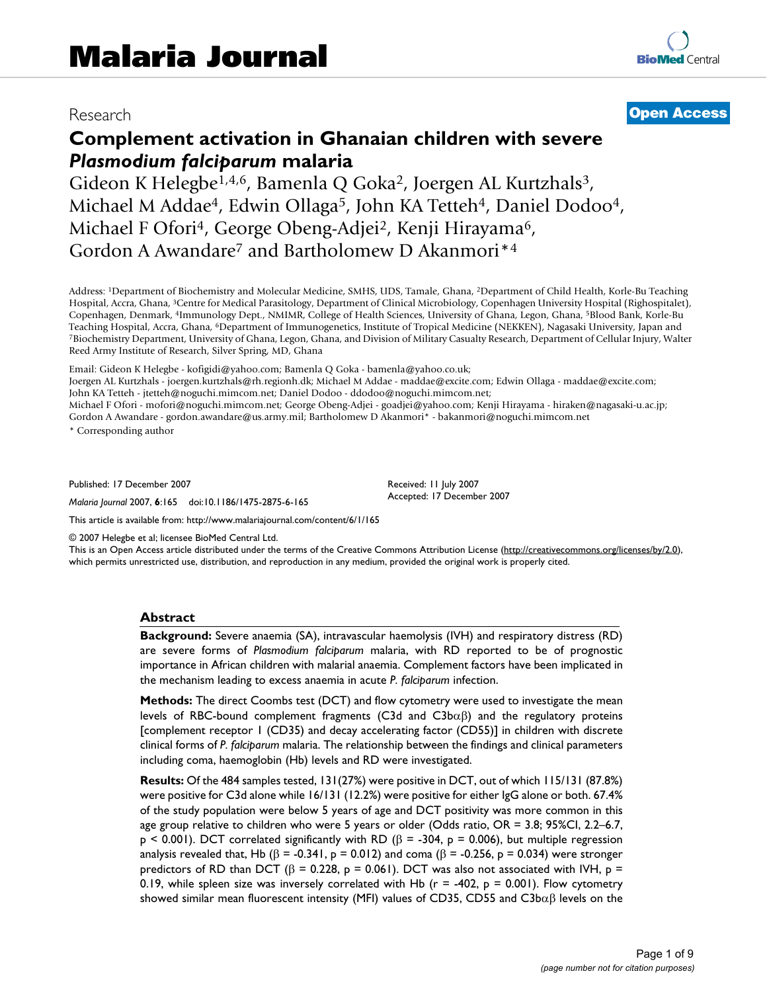# Research **[Open Access](http://www.biomedcentral.com/info/about/charter/)**

# **Complement activation in Ghanaian children with severe**  *Plasmodium falciparum* **malaria**

Gideon K Helegbe<sup>1,4,6</sup>, Bamenla Q Goka<sup>2</sup>, Joergen AL Kurtzhals<sup>3</sup>, Michael M Addae<sup>4</sup>, Edwin Ollaga<sup>5</sup>, John KA Tetteh<sup>4</sup>, Daniel Dodoo<sup>4</sup>, Michael F Ofori<sup>4</sup>, George Obeng-Adjei<sup>2</sup>, Kenji Hirayama<sup>6</sup>, Gordon A Awandare<sup>7</sup> and Bartholomew D Akanmori<sup>\*4</sup>

Address: 1Department of Biochemistry and Molecular Medicine, SMHS, UDS, Tamale, Ghana, 2Department of Child Health, Korle-Bu Teaching Hospital, Accra, Ghana, 3Centre for Medical Parasitology, Department of Clinical Microbiology, Copenhagen University Hospital (Righospitalet), Copenhagen, Denmark, 4Immunology Dept., NMIMR, College of Health Sciences, University of Ghana, Legon, Ghana, 5Blood Bank, Korle-Bu Teaching Hospital, Accra, Ghana, <sup>6</sup>Department of Immunogenetics, Institute of Tropical Medicine (NEKKEN), Nagasaki University, Japan and<br>7Biochemistry Department, University of Ghana, Legon, Ghana, and Division of Militar Reed Army Institute of Research, Silver Spring, MD, Ghana

Email: Gideon K Helegbe - kofigidi@yahoo.com; Bamenla Q Goka - bamenla@yahoo.co.uk;

Joergen AL Kurtzhals - joergen.kurtzhals@rh.regionh.dk; Michael M Addae - maddae@excite.com; Edwin Ollaga - maddae@excite.com; John KA Tetteh - jtetteh@noguchi.mimcom.net; Daniel Dodoo - ddodoo@noguchi.mimcom.net;

Michael F Ofori - mofori@noguchi.mimcom.net; George Obeng-Adjei - goadjei@yahoo.com; Kenji Hirayama - hiraken@nagasaki-u.ac.jp; Gordon A Awandare - gordon.awandare@us.army.mil; Bartholomew D Akanmori\* - bakanmori@noguchi.mimcom.net

\* Corresponding author

Published: 17 December 2007

*Malaria Journal* 2007, **6**:165 doi:10.1186/1475-2875-6-165

[This article is available from: http://www.malariajournal.com/content/6/1/165](http://www.malariajournal.com/content/6/1/165)

Received: 11 July 2007 Accepted: 17 December 2007

© 2007 Helegbe et al; licensee BioMed Central Ltd.

This is an Open Access article distributed under the terms of the Creative Commons Attribution License [\(http://creativecommons.org/licenses/by/2.0\)](http://creativecommons.org/licenses/by/2.0), which permits unrestricted use, distribution, and reproduction in any medium, provided the original work is properly cited.

#### **Abstract**

**Background:** Severe anaemia (SA), intravascular haemolysis (IVH) and respiratory distress (RD) are severe forms of *Plasmodium falciparum* malaria, with RD reported to be of prognostic importance in African children with malarial anaemia. Complement factors have been implicated in the mechanism leading to excess anaemia in acute *P. falciparum* infection.

**Methods:** The direct Coombs test (DCT) and flow cytometry were used to investigate the mean levels of RBC-bound complement fragments (C3d and C3bαβ) and the regulatory proteins [complement receptor 1 (CD35) and decay accelerating factor (CD55)] in children with discrete clinical forms of *P. falciparum* malaria. The relationship between the findings and clinical parameters including coma, haemoglobin (Hb) levels and RD were investigated.

**Results:** Of the 484 samples tested, 131(27%) were positive in DCT, out of which 115/131 (87.8%) were positive for C3d alone while 16/131 (12.2%) were positive for either IgG alone or both. 67.4% of the study population were below 5 years of age and DCT positivity was more common in this age group relative to children who were 5 years or older (Odds ratio, OR = 3.8; 95%CI, 2.2–6.7,  $p \le 0.001$ ). DCT correlated significantly with RD ( $\beta$  = -304,  $p$  = 0.006), but multiple regression analysis revealed that, Hb ( $\beta$  = -0.341, p = 0.012) and coma ( $\beta$  = -0.256, p = 0.034) were stronger predictors of RD than DCT (β = 0.228, p = 0.061). DCT was also not associated with IVH, p = 0.19, while spleen size was inversely correlated with Hb ( $r = -402$ ,  $p = 0.001$ ). Flow cytometry showed similar mean fluorescent intensity (MFI) values of CD35, CD55 and C3b $\alpha\beta$  levels on the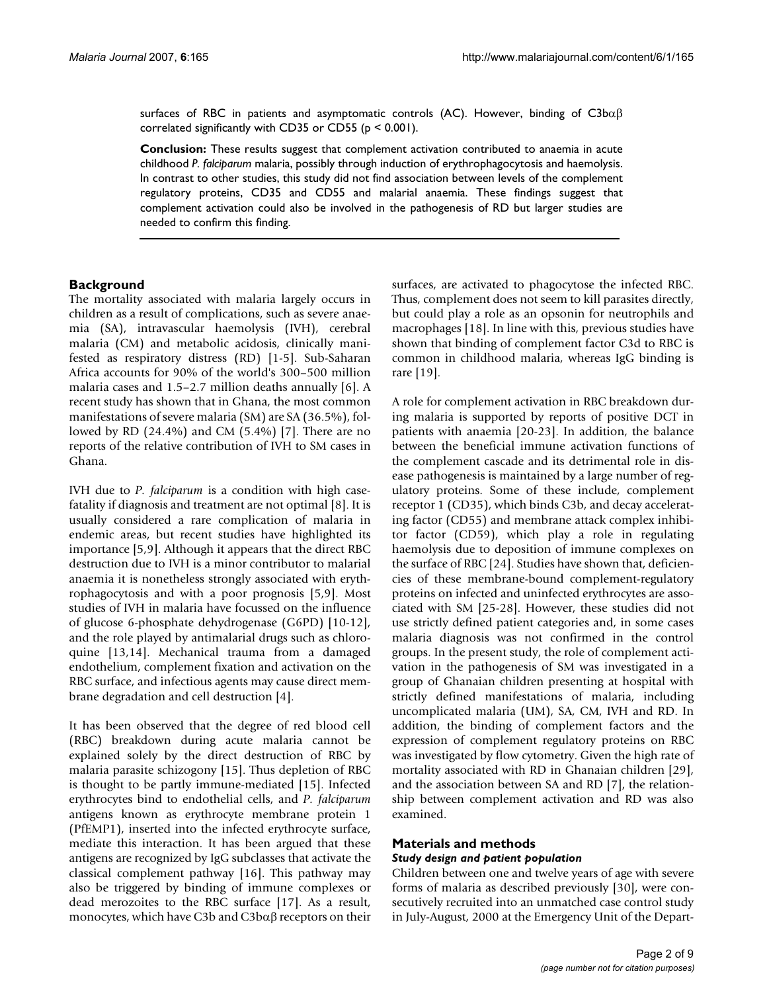surfaces of RBC in patients and asymptomatic controls (AC). However, binding of  $C3b\alpha\beta$ correlated significantly with CD35 or CD55 (p < 0.001).

**Conclusion:** These results suggest that complement activation contributed to anaemia in acute childhood *P. falciparum* malaria, possibly through induction of erythrophagocytosis and haemolysis. In contrast to other studies, this study did not find association between levels of the complement regulatory proteins, CD35 and CD55 and malarial anaemia. These findings suggest that complement activation could also be involved in the pathogenesis of RD but larger studies are needed to confirm this finding.

#### **Background**

The mortality associated with malaria largely occurs in children as a result of complications, such as severe anaemia (SA), intravascular haemolysis (IVH), cerebral malaria (CM) and metabolic acidosis, clinically manifested as respiratory distress (RD) [1-5]. Sub-Saharan Africa accounts for 90% of the world's 300–500 million malaria cases and 1.5–2.7 million deaths annually [6]. A recent study has shown that in Ghana, the most common manifestations of severe malaria (SM) are SA (36.5%), followed by RD (24.4%) and CM (5.4%) [7]. There are no reports of the relative contribution of IVH to SM cases in Ghana.

IVH due to *P. falciparum* is a condition with high casefatality if diagnosis and treatment are not optimal [8]. It is usually considered a rare complication of malaria in endemic areas, but recent studies have highlighted its importance [5,9]. Although it appears that the direct RBC destruction due to IVH is a minor contributor to malarial anaemia it is nonetheless strongly associated with erythrophagocytosis and with a poor prognosis [5,9]. Most studies of IVH in malaria have focussed on the influence of glucose 6-phosphate dehydrogenase (G6PD) [10-12], and the role played by antimalarial drugs such as chloroquine [13,14]. Mechanical trauma from a damaged endothelium, complement fixation and activation on the RBC surface, and infectious agents may cause direct membrane degradation and cell destruction [\[4\]](#page-7-0).

It has been observed that the degree of red blood cell (RBC) breakdown during acute malaria cannot be explained solely by the direct destruction of RBC by malaria parasite schizogony [15]. Thus depletion of RBC is thought to be partly immune-mediated [15]. Infected erythrocytes bind to endothelial cells, and *P. falciparum* antigens known as erythrocyte membrane protein 1 (PfEMP1), inserted into the infected erythrocyte surface, mediate this interaction. It has been argued that these antigens are recognized by IgG subclasses that activate the classical complement pathway [16]. This pathway may also be triggered by binding of immune complexes or dead merozoites to the RBC surface [17]. As a result, monocytes, which have C3b and C3bαβ receptors on their surfaces, are activated to phagocytose the infected RBC. Thus, complement does not seem to kill parasites directly, but could play a role as an opsonin for neutrophils and macrophages [18]. In line with this, previous studies have shown that binding of complement factor C3d to RBC is common in childhood malaria, whereas IgG binding is rare [19].

A role for complement activation in RBC breakdown during malaria is supported by reports of positive DCT in patients with anaemia [20-23]. In addition, the balance between the beneficial immune activation functions of the complement cascade and its detrimental role in disease pathogenesis is maintained by a large number of regulatory proteins. Some of these include, complement receptor 1 (CD35), which binds C3b, and decay accelerating factor (CD55) and membrane attack complex inhibitor factor (CD59), which play a role in regulating haemolysis due to deposition of immune complexes on the surface of RBC [[24\]](#page-8-0). Studies have shown that, deficiencies of these membrane-bound complement-regulatory proteins on infected and uninfected erythrocytes are associated with SM [25-28]. However, these studies did not use strictly defined patient categories and, in some cases malaria diagnosis was not confirmed in the control groups. In the present study, the role of complement activation in the pathogenesis of SM was investigated in a group of Ghanaian children presenting at hospital with strictly defined manifestations of malaria, including uncomplicated malaria (UM), SA, CM, IVH and RD. In addition, the binding of complement factors and the expression of complement regulatory proteins on RBC was investigated by flow cytometry. Given the high rate of mortality associated with RD in Ghanaian children [29], and the association between SA and RD [7], the relationship between complement activation and RD was also examined.

#### **Materials and methods** *Study design and patient population*

Children between one and twelve years of age with severe forms of malaria as described previously [30], were consecutively recruited into an unmatched case control study in July-August, 2000 at the Emergency Unit of the Depart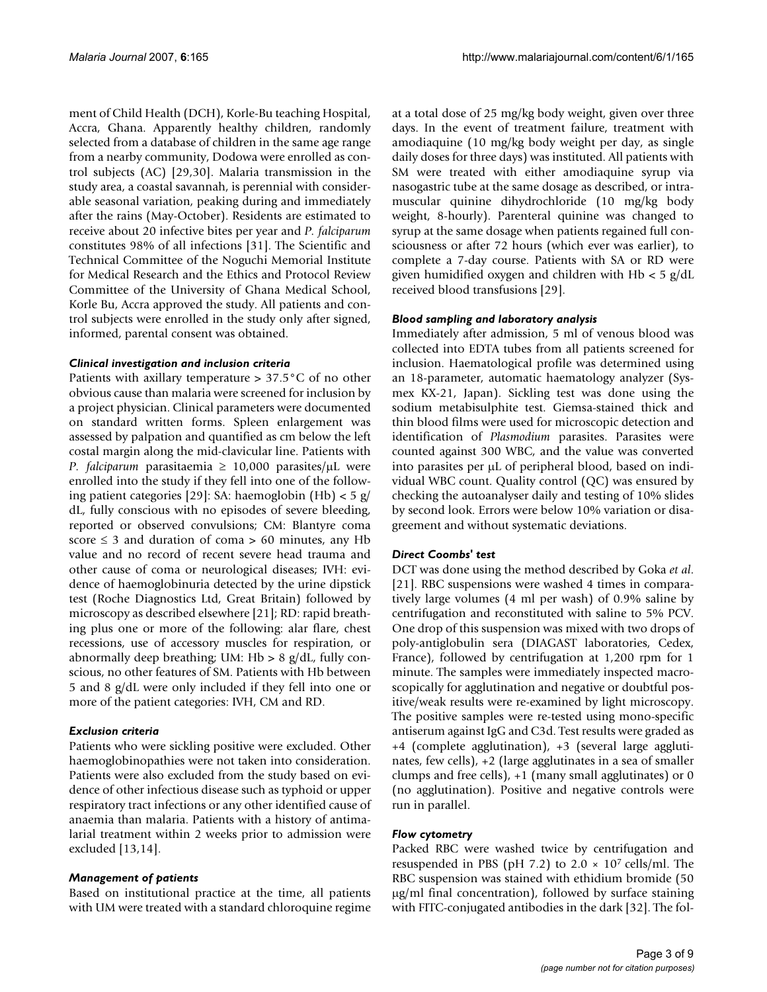ment of Child Health (DCH), Korle-Bu teaching Hospital, Accra, Ghana. Apparently healthy children, randomly selected from a database of children in the same age range from a nearby community, Dodowa were enrolled as control subjects (AC) [29,30]. Malaria transmission in the study area, a coastal savannah, is perennial with considerable seasonal variation, peaking during and immediately after the rains (May-October). Residents are estimated to receive about 20 infective bites per year and *P. falciparum* constitutes 98% of all infections [31]. The Scientific and Technical Committee of the Noguchi Memorial Institute for Medical Research and the Ethics and Protocol Review Committee of the University of Ghana Medical School, Korle Bu, Accra approved the study. All patients and control subjects were enrolled in the study only after signed, informed, parental consent was obtained.

#### *Clinical investigation and inclusion criteria*

Patients with axillary temperature > 37.5°C of no other obvious cause than malaria were screened for inclusion by a project physician. Clinical parameters were documented on standard written forms. Spleen enlargement was assessed by palpation and quantified as cm below the left costal margin along the mid-clavicular line. Patients with *P. falciparum* parasitaemia ≥ 10,000 parasites/µL were enrolled into the study if they fell into one of the following patient categories [29]: SA: haemoglobin (Hb) < 5 g/ dL, fully conscious with no episodes of severe bleeding, reported or observed convulsions; CM: Blantyre coma score  $\leq$  3 and duration of coma > 60 minutes, any Hb value and no record of recent severe head trauma and other cause of coma or neurological diseases; IVH: evidence of haemoglobinuria detected by the urine dipstick test (Roche Diagnostics Ltd, Great Britain) followed by microscopy as described elsewhere [21]; RD: rapid breathing plus one or more of the following: alar flare, chest recessions, use of accessory muscles for respiration, or abnormally deep breathing; UM:  $Hb > 8$  g/dL, fully conscious, no other features of SM. Patients with Hb between 5 and 8 g/dL were only included if they fell into one or more of the patient categories: IVH, CM and RD.

# *Exclusion criteria*

Patients who were sickling positive were excluded. Other haemoglobinopathies were not taken into consideration. Patients were also excluded from the study based on evidence of other infectious disease such as typhoid or upper respiratory tract infections or any other identified cause of anaemia than malaria. Patients with a history of antimalarial treatment within 2 weeks prior to admission were excluded [13,14].

# *Management of patients*

Based on institutional practice at the time, all patients with UM were treated with a standard chloroquine regime at a total dose of 25 mg/kg body weight, given over three days. In the event of treatment failure, treatment with amodiaquine (10 mg/kg body weight per day, as single daily doses for three days) was instituted. All patients with SM were treated with either amodiaquine syrup via nasogastric tube at the same dosage as described, or intramuscular quinine dihydrochloride (10 mg/kg body weight, 8-hourly). Parenteral quinine was changed to syrup at the same dosage when patients regained full consciousness or after 72 hours (which ever was earlier), to complete a 7-day course. Patients with SA or RD were given humidified oxygen and children with Hb < 5 g/dL received blood transfusions [29].

# *Blood sampling and laboratory analysis*

Immediately after admission, 5 ml of venous blood was collected into EDTA tubes from all patients screened for inclusion. Haematological profile was determined using an 18-parameter, automatic haematology analyzer (Sysmex KX-21, Japan). Sickling test was done using the sodium metabisulphite test. Giemsa-stained thick and thin blood films were used for microscopic detection and identification of *Plasmodium* parasites. Parasites were counted against 300 WBC, and the value was converted into parasites per µL of peripheral blood, based on individual WBC count. Quality control (QC) was ensured by checking the autoanalyser daily and testing of 10% slides by second look. Errors were below 10% variation or disagreement and without systematic deviations.

# *Direct Coombs' test*

DCT was done using the method described by Goka *et al*. [21]. RBC suspensions were washed 4 times in comparatively large volumes (4 ml per wash) of 0.9% saline by centrifugation and reconstituted with saline to 5% PCV. One drop of this suspension was mixed with two drops of poly-antiglobulin sera (DIAGAST laboratories, Cedex, France), followed by centrifugation at 1,200 rpm for 1 minute. The samples were immediately inspected macroscopically for agglutination and negative or doubtful positive/weak results were re-examined by light microscopy. The positive samples were re-tested using mono-specific antiserum against IgG and C3d. Test results were graded as +4 (complete agglutination), +3 (several large agglutinates, few cells), +2 (large agglutinates in a sea of smaller clumps and free cells), +1 (many small agglutinates) or 0 (no agglutination). Positive and negative controls were run in parallel.

# *Flow cytometry*

Packed RBC were washed twice by centrifugation and resuspended in PBS (pH 7.2) to  $2.0 \times 10^7$  cells/ml. The RBC suspension was stained with ethidium bromide (50 µg/ml final concentration), followed by surface staining with FITC-conjugated antibodies in the dark [32]. The fol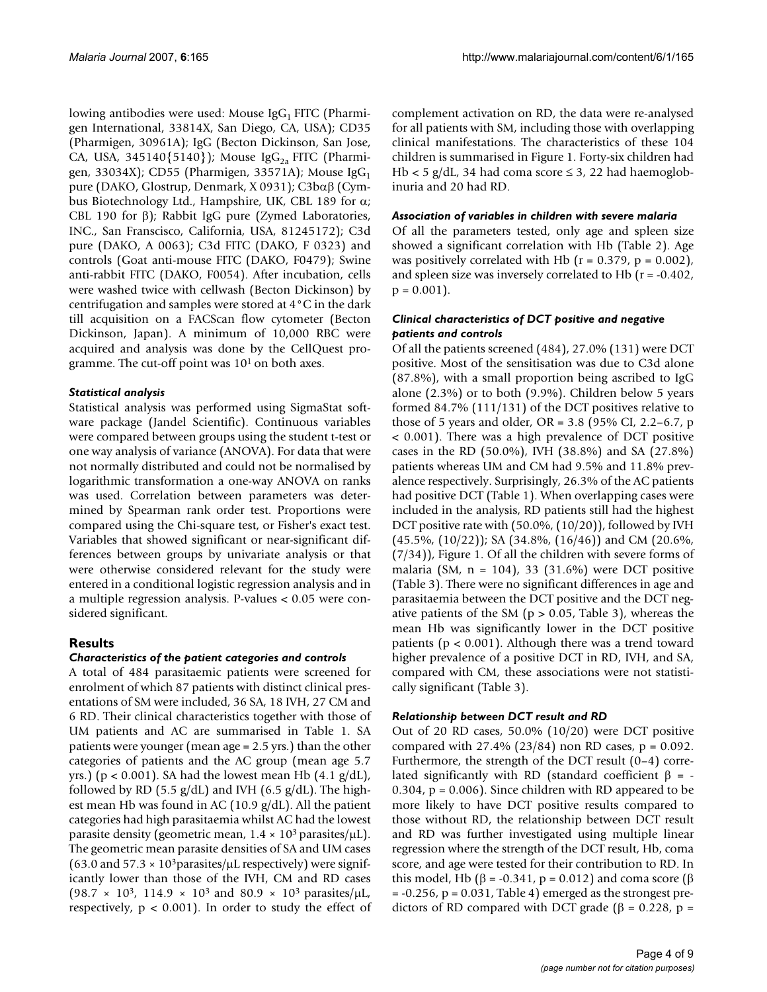lowing antibodies were used: Mouse  $\text{IgG}_1$  FITC (Pharmigen International, 33814X, San Diego, CA, USA); CD35 (Pharmigen, 30961A); IgG (Becton Dickinson, San Jose, CA, USA, 345140 $\{5140\}$ ); Mouse IgG<sub>2a</sub> FITC (Pharmigen, 33034X); CD55 (Pharmigen, 33571A); Mouse  $\text{IgG}_1$ pure (DAKO, Glostrup, Denmark, X 0931); C3bαβ (Cymbus Biotechnology Ltd., Hampshire, UK, CBL 189 for  $\alpha$ ; CBL 190 for β); Rabbit IgG pure (Zymed Laboratories, INC., San Franscisco, California, USA, 81245172); C3d pure (DAKO, A 0063); C3d FITC (DAKO, F 0323) and controls (Goat anti-mouse FITC (DAKO, F0479); Swine anti-rabbit FITC (DAKO, F0054). After incubation, cells were washed twice with cellwash (Becton Dickinson) by centrifugation and samples were stored at 4°C in the dark till acquisition on a FACScan flow cytometer (Becton Dickinson, Japan). A minimum of 10,000 RBC were acquired and analysis was done by the CellQuest programme. The cut-off point was 101 on both axes.

# *Statistical analysis*

Statistical analysis was performed using SigmaStat software package (Jandel Scientific). Continuous variables were compared between groups using the student t-test or one way analysis of variance (ANOVA). For data that were not normally distributed and could not be normalised by logarithmic transformation a one-way ANOVA on ranks was used. Correlation between parameters was determined by Spearman rank order test. Proportions were compared using the Chi-square test, or Fisher's exact test. Variables that showed significant or near-significant differences between groups by univariate analysis or that were otherwise considered relevant for the study were entered in a conditional logistic regression analysis and in a multiple regression analysis. P-values < 0.05 were considered significant.

# **Results**

# *Characteristics of the patient categories and controls*

A total of 484 parasitaemic patients were screened for enrolment of which 87 patients with distinct clinical presentations of SM were included, 36 SA, 18 IVH, 27 CM and 6 RD. Their clinical characteristics together with those of UM patients and AC are summarised in Table 1. SA patients were younger (mean age = 2.5 yrs.) than the other categories of patients and the AC group (mean age 5.7 yrs.) ( $p < 0.001$ ). SA had the lowest mean Hb  $(4.1 \text{ g/dL})$ , followed by RD (5.5  $g/dL$ ) and IVH (6.5  $g/dL$ ). The highest mean Hb was found in AC (10.9 g/dL). All the patient categories had high parasitaemia whilst AC had the lowest parasite density (geometric mean,  $1.4 \times 10^3$  parasites/ $\mu$ L). The geometric mean parasite densities of SA and UM cases (63.0 and 57.3  $\times$  10<sup>3</sup> parasites/µL respectively) were significantly lower than those of the IVH, CM and RD cases  $(98.7 \times 10^3, 114.9 \times 10^3 \text{ and } 80.9 \times 10^3 \text{ parasites/µL}$ , respectively,  $p < 0.001$ ). In order to study the effect of complement activation on RD, the data were re-analysed for all patients with SM, including those with overlapping clinical manifestations. The characteristics of these 104 children is summarised in Figure 1. Forty-six children had Hb < 5 g/dL, 34 had coma score  $\leq$  3, 22 had haemoglobinuria and 20 had RD.

# *Association of variables in children with severe malaria*

Of all the parameters tested, only age and spleen size showed a significant correlation with Hb (Table 2). Age was positively correlated with Hb  $(r = 0.379, p = 0.002)$ , and spleen size was inversely correlated to Hb (r = -0.402,  $p = 0.001$ ).

#### *Clinical characteristics of DCT positive and negative patients and controls*

Of all the patients screened (484), 27.0% (131) were DCT positive. Most of the sensitisation was due to C3d alone (87.8%), with a small proportion being ascribed to IgG alone (2.3%) or to both (9.9%). Children below 5 years formed 84.7% (111/131) of the DCT positives relative to those of 5 years and older, OR = 3.8 (95% CI, 2.2–6.7, p < 0.001). There was a high prevalence of DCT positive cases in the RD (50.0%), IVH (38.8%) and SA (27.8%) patients whereas UM and CM had 9.5% and 11.8% prevalence respectively. Surprisingly, 26.3% of the AC patients had positive DCT (Table 1). When overlapping cases were included in the analysis, RD patients still had the highest DCT positive rate with (50.0%, (10/20)), followed by IVH (45.5%, (10/22)); SA (34.8%, (16/46)) and CM (20.6%, (7/34)), Figure 1. Of all the children with severe forms of malaria (SM, n = 104), 33 (31.6%) were DCT positive (Table 3). There were no significant differences in age and parasitaemia between the DCT positive and the DCT negative patients of the SM ( $p > 0.05$ , Table 3), whereas the mean Hb was significantly lower in the DCT positive patients ( $p < 0.001$ ). Although there was a trend toward higher prevalence of a positive DCT in RD, IVH, and SA, compared with CM, these associations were not statistically significant (Table 3).

# *Relationship between DCT result and RD*

Out of 20 RD cases, 50.0% (10/20) were DCT positive compared with  $27.4\%$  ( $23/84$ ) non RD cases,  $p = 0.092$ . Furthermore, the strength of the DCT result (0–4) correlated significantly with RD (standard coefficient  $β = -$ 0.304,  $p = 0.006$ ). Since children with RD appeared to be more likely to have DCT positive results compared to those without RD, the relationship between DCT result and RD was further investigated using multiple linear regression where the strength of the DCT result, Hb, coma score, and age were tested for their contribution to RD. In this model, Hb (β = -0.341, p = 0.012) and coma score (β  $= -0.256$ ,  $p = 0.031$ , Table 4) emerged as the strongest predictors of RD compared with DCT grade ( $β = 0.228$ ,  $p =$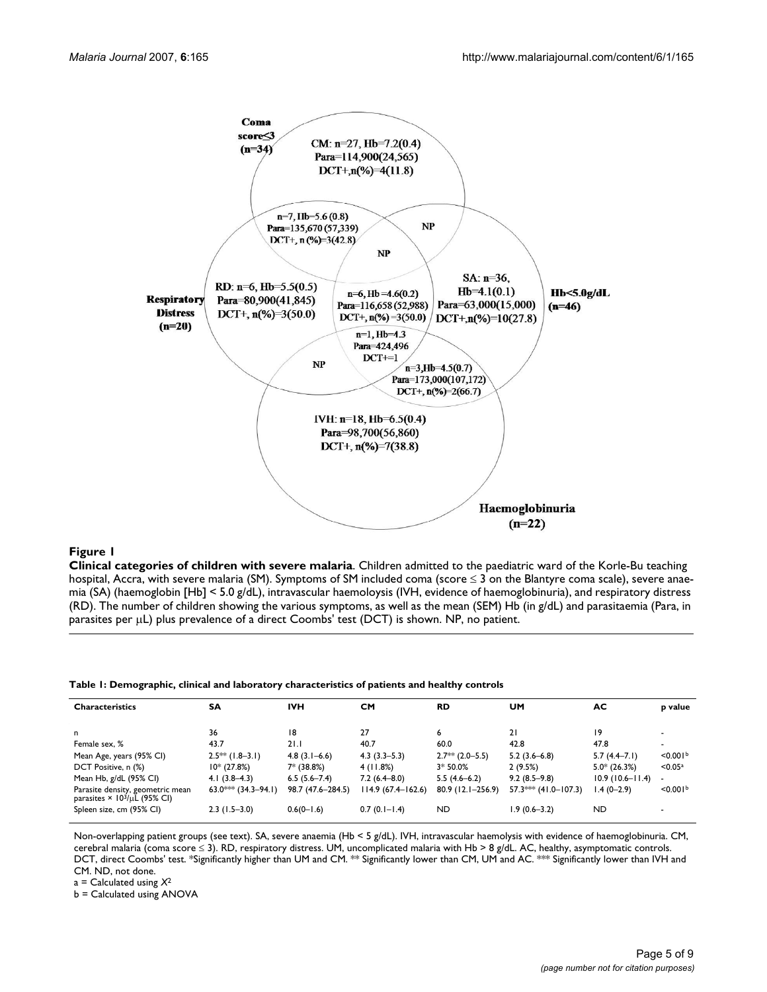

#### Figure 1

**Clinical categories of children with severe malaria**. Children admitted to the paediatric ward of the Korle-Bu teaching hospital, Accra, with severe malaria (SM). Symptoms of SM included coma (score ≤ 3 on the Blantyre coma scale), severe anaemia (SA) (haemoglobin [Hb] < 5.0 g/dL), intravascular haemoloysis (IVH, evidence of haemoglobinuria), and respiratory distress (RD). The number of children showing the various symptoms, as well as the mean (SEM) Hb (in g/dL) and parasitaemia (Para, in parasites per µL) plus prevalence of a direct Coombs' test (DCT) is shown. NP, no patient.

|  |  | Table I: Demographic, clinical and laboratory characteristics of patients and healthy controls |  |
|--|--|------------------------------------------------------------------------------------------------|--|
|  |  |                                                                                                |  |

| <b>Characteristics</b>                                                              | <b>SA</b>                  | <b>IVH</b>        | CM                 | <b>RD</b>           | <b>UM</b>              | AC.                 | p value              |
|-------------------------------------------------------------------------------------|----------------------------|-------------------|--------------------|---------------------|------------------------|---------------------|----------------------|
| n                                                                                   | 36                         | 18                | 27                 | 6                   | 21                     | 19                  |                      |
| Female sex, %                                                                       | 43.7                       | 21.1              | 40.7               | 60.0                | 42.8                   | 47.8                |                      |
| Mean Age, years (95% CI)                                                            | $2.5**$ (1.8-3.1)          | $4.8(3.1 - 6.6)$  | $4.3(3.3-5.3)$     | $2.7**$ (2.0-5.5)   | $5.2(3.6-6.8)$         | $5.7(4.4-7.1)$      | < 0.001 <sup>b</sup> |
| DCT Positive, n (%)                                                                 | $10*(27.8%)$               | 7* (38.8%)        | 4(11.8%)           | $3*50.0%$           | 2(9.5%)                | $5.0* (26.3%)$      | < 0.05a              |
| Mean Hb, g/dL (95% CI)                                                              | $4.1(3.8-4.3)$             | $6.5(5.6 - 7.4)$  | $7.2(6.4 - 8.0)$   | $5.5(4.6-6.2)$      | $9.2(8.5-9.8)$         | $10.9(10.6-11.4)$ - |                      |
| Parasite density, geometric mean<br>parasites $\times$ 10 <sup>3</sup> /µL (95% CI) | $63.0$ *** $(34.3 - 94.1)$ | 98.7 (47.6–284.5) | 114.9 (67.4–162.6) | $80.9$ (12.1-256.9) | $57.3***$ (41.0-107.3) | $1.4(0-2.9)$        | < 0.001 <sup>b</sup> |
| Spleen size, cm (95% Cl)                                                            | $2.3(1.5-3.0)$             | $0.6(0-1.6)$      | $0.7(0.1 - 1.4)$   | ND.                 | $1.9(0.6 - 3.2)$       | <b>ND</b>           |                      |

Non-overlapping patient groups (see text). SA, severe anaemia (Hb < 5 g/dL). IVH, intravascular haemolysis with evidence of haemoglobinuria. CM, cerebral malaria (coma score ≤ 3). RD, respiratory distress. UM, uncomplicated malaria with Hb > 8 g/dL. AC, healthy, asymptomatic controls. DCT, direct Coombs' test. \*Significantly higher than UM and CM. \*\* Significantly lower than CM, UM and AC. \*\*\* Significantly lower than IVH and CM. ND, not done.

a = Calculated using *X*<sup>2</sup>

b = Calculated using ANOVA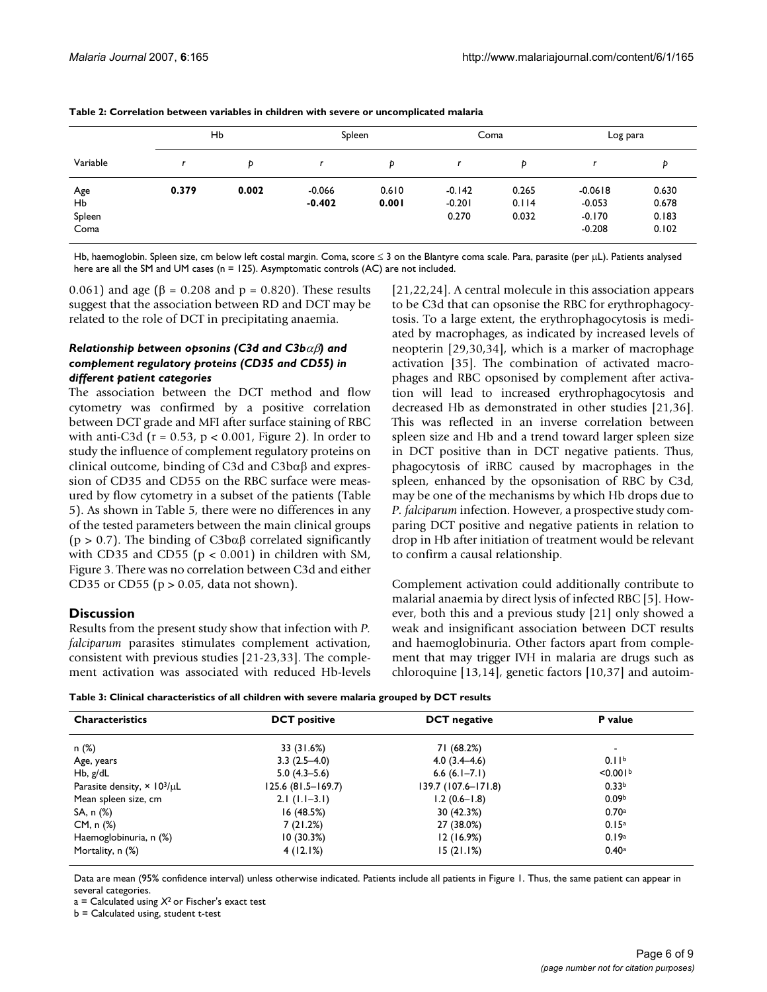|                             | Hb    |       | Spleen               |                | Coma                          |                         | Log para                                      |                                  |
|-----------------------------|-------|-------|----------------------|----------------|-------------------------------|-------------------------|-----------------------------------------------|----------------------------------|
| Variable                    |       | Ð     |                      | Þ              |                               | b                       |                                               | Þ                                |
| Age<br>Hb<br>Spleen<br>Coma | 0.379 | 0.002 | $-0.066$<br>$-0.402$ | 0.610<br>0.001 | $-0.142$<br>$-0.201$<br>0.270 | 0.265<br>0.114<br>0.032 | $-0.0618$<br>$-0.053$<br>$-0.170$<br>$-0.208$ | 0.630<br>0.678<br>0.183<br>0.102 |

| Table 2: Correlation between variables in children with severe or uncomplicated malaria |  |
|-----------------------------------------------------------------------------------------|--|
|-----------------------------------------------------------------------------------------|--|

Hb, haemoglobin. Spleen size, cm below left costal margin. Coma, score ≤ 3 on the Blantyre coma scale. Para, parasite (per µL). Patients analysed here are all the SM and UM cases (n = 125). Asymptomatic controls (AC) are not included.

0.061) and age (β = 0.208 and p = 0.820). These results suggest that the association between RD and DCT may be related to the role of DCT in precipitating anaemia.

#### *Relationship between opsonins (C3d and C3b*αβ*) and complement regulatory proteins (CD35 and CD55) in different patient categories*

The association between the DCT method and flow cytometry was confirmed by a positive correlation between DCT grade and MFI after surface staining of RBC with anti-C3d ( $r = 0.53$ ,  $p < 0.001$ , Figure 2). In order to study the influence of complement regulatory proteins on clinical outcome, binding of C3d and C3bαβ and expression of CD35 and CD55 on the RBC surface were measured by flow cytometry in a subset of the patients (Table 5). As shown in Table 5, there were no differences in any of the tested parameters between the main clinical groups ( $p > 0.7$ ). The binding of C3b $\alpha\beta$  correlated significantly with CD35 and CD55 ( $p < 0.001$ ) in children with SM, Figure 3. There was no correlation between C3d and either CD35 or CD55 ( $p > 0.05$ , data not shown).

# **Discussion**

Results from the present study show that infection with *P. falciparum* parasites stimulates complement activation, consistent with previous studies [21-23,33]. The complement activation was associated with reduced Hb-levels [21,22[,24](#page-8-0)]. A central molecule in this association appears to be C3d that can opsonise the RBC for erythrophagocytosis. To a large extent, the erythrophagocytosis is mediated by macrophages, as indicated by increased levels of neopterin [29,30,[34\]](#page-8-1), which is a marker of macrophage activation [35]. The combination of activated macrophages and RBC opsonised by complement after activation will lead to increased erythrophagocytosis and decreased Hb as demonstrated in other studies [21[,36](#page-8-2)]. This was reflected in an inverse correlation between spleen size and Hb and a trend toward larger spleen size in DCT positive than in DCT negative patients. Thus, phagocytosis of iRBC caused by macrophages in the spleen, enhanced by the opsonisation of RBC by C3d, may be one of the mechanisms by which Hb drops due to *P. falciparum* infection. However, a prospective study comparing DCT positive and negative patients in relation to drop in Hb after initiation of treatment would be relevant to confirm a causal relationship.

Complement activation could additionally contribute to malarial anaemia by direct lysis of infected RBC [5]. However, both this and a previous study [21] only showed a weak and insignificant association between DCT results and haemoglobinuria. Other factors apart from complement that may trigger IVH in malaria are drugs such as chloroquine [13,14], genetic factors [10,37] and autoim-



| <b>Characteristics</b>                         | <b>DCT</b> positive | <b>DCT</b> negative | <b>P</b> value       |
|------------------------------------------------|---------------------|---------------------|----------------------|
| n (%)                                          | 33 (31.6%)          | 71 (68.2%)          | $\blacksquare$       |
| Age, years                                     | $3.3(2.5-4.0)$      | $4.0(3.4 - 4.6)$    | 0.11 <sup>b</sup>    |
| Hb, g/dL                                       | $5.0(4.3-5.6)$      | $6.6(6.1 - 7.1)$    | < 0.001 <sup>b</sup> |
| Parasite density, $\times$ 10 <sup>3</sup> /µL | 125.6 (81.5–169.7)  | 139.7 (107.6-171.8) | 0.33 <sup>b</sup>    |
| Mean spleen size, cm                           | $2.1(1.1-3.1)$      | $1.2(0.6 - 1.8)$    | 0.09 <sup>b</sup>    |
| SA, n (%)                                      | 16 (48.5%)          | 30 (42.3%)          | 0.70a                |
| CM, n (%)                                      | 7(21.2%)            | 27 (38.0%)          | 0.15 <sup>a</sup>    |
| Haemoglobinuria, n (%)                         | 10(30.3%)           | 12(16.9%)           | 0.19a                |
| Mortality, n (%)                               | 4(12.1%)            | 15(21.1%)           | 0.40a                |

Data are mean (95% confidence interval) unless otherwise indicated. Patients include all patients in Figure 1. Thus, the same patient can appear in several categories.

 $a =$  Calculated using  $X^2$  or Fischer's exact test

b = Calculated using, student t-test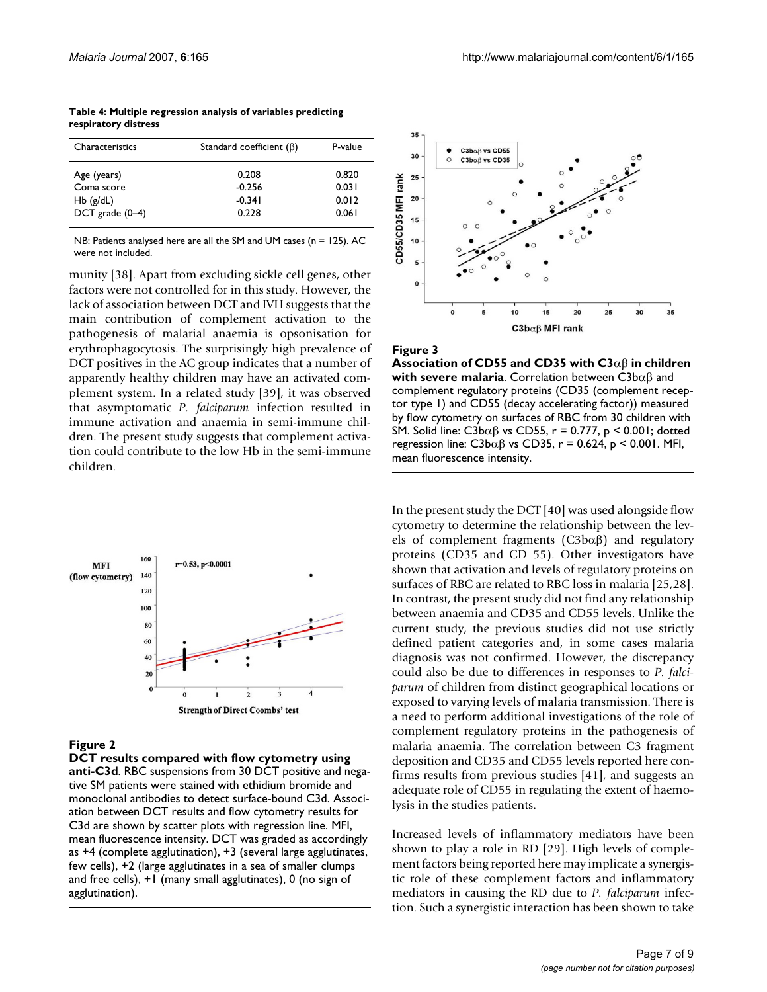| Characteristics   | Standard coefficient $(\beta)$ | P-value |  |
|-------------------|--------------------------------|---------|--|
| Age (years)       | 0.208                          | 0.820   |  |
| Coma score        | $-0.256$                       | 0.031   |  |
| $Hb$ (g/dL)       | $-0.341$                       | 0.012   |  |
| DCT grade $(0-4)$ | 0.228                          | 0.061   |  |

**Table 4: Multiple regression analysis of variables predicting respiratory distress**

NB: Patients analysed here are all the SM and UM cases (n = 125). AC were not included.

munity [38]. Apart from excluding sickle cell genes, other factors were not controlled for in this study. However, the lack of association between DCT and IVH suggests that the main contribution of complement activation to the pathogenesis of malarial anaemia is opsonisation for erythrophagocytosis. The surprisingly high prevalence of DCT positives in the AC group indicates that a number of apparently healthy children may have an activated complement system. In a related study [39], it was observed that asymptomatic *P. falciparum* infection resulted in immune activation and anaemia in semi-immune children. The present study suggests that complement activation could contribute to the low Hb in the semi-immune children.



# Figure 2

**DCT results compared with flow cytometry using anti-C3d**. RBC suspensions from 30 DCT positive and negative SM patients were stained with ethidium bromide and monoclonal antibodies to detect surface-bound C3d. Association between DCT results and flow cytometry results for C3d are shown by scatter plots with regression line. MFI, mean fluorescence intensity. DCT was graded as accordingly as +4 (complete agglutination), +3 (several large agglutinates, few cells), +2 (large agglutinates in a sea of smaller clumps and free cells), +1 (many small agglutinates), 0 (no sign of agglutination).



#### **Figure 3**

**Association of CD55 and CD35 with C3**αβ **in children with severe malaria**. Correlation between C3bαβ and complement regulatory proteins (CD35 (complement receptor type 1) and CD55 (decay accelerating factor)) measured by flow cytometry on surfaces of RBC from 30 children with SM. Solid line: C3b $αβ$  vs CD55, r = 0.777, p < 0.001; dotted regression line: C3b $αβ$  vs CD35, r = 0.624, p < 0.001. MFI, mean fluorescence intensity.

In the present study the DCT [40] was used alongside flow cytometry to determine the relationship between the levels of complement fragments (C3bαβ) and regulatory proteins (CD35 and CD 55). Other investigators have shown that activation and levels of regulatory proteins on surfaces of RBC are related to RBC loss in malaria [25,28]. In contrast, the present study did not find any relationship between anaemia and CD35 and CD55 levels. Unlike the current study, the previous studies did not use strictly defined patient categories and, in some cases malaria diagnosis was not confirmed. However, the discrepancy could also be due to differences in responses to *P. falciparum* of children from distinct geographical locations or exposed to varying levels of malaria transmission. There is a need to perform additional investigations of the role of complement regulatory proteins in the pathogenesis of malaria anaemia. The correlation between C3 fragment deposition and CD35 and CD55 levels reported here confirms results from previous studies [41], and suggests an adequate role of CD55 in regulating the extent of haemolysis in the studies patients.

Increased levels of inflammatory mediators have been shown to play a role in RD [29]. High levels of complement factors being reported here may implicate a synergistic role of these complement factors and inflammatory mediators in causing the RD due to *P. falciparum* infection. Such a synergistic interaction has been shown to take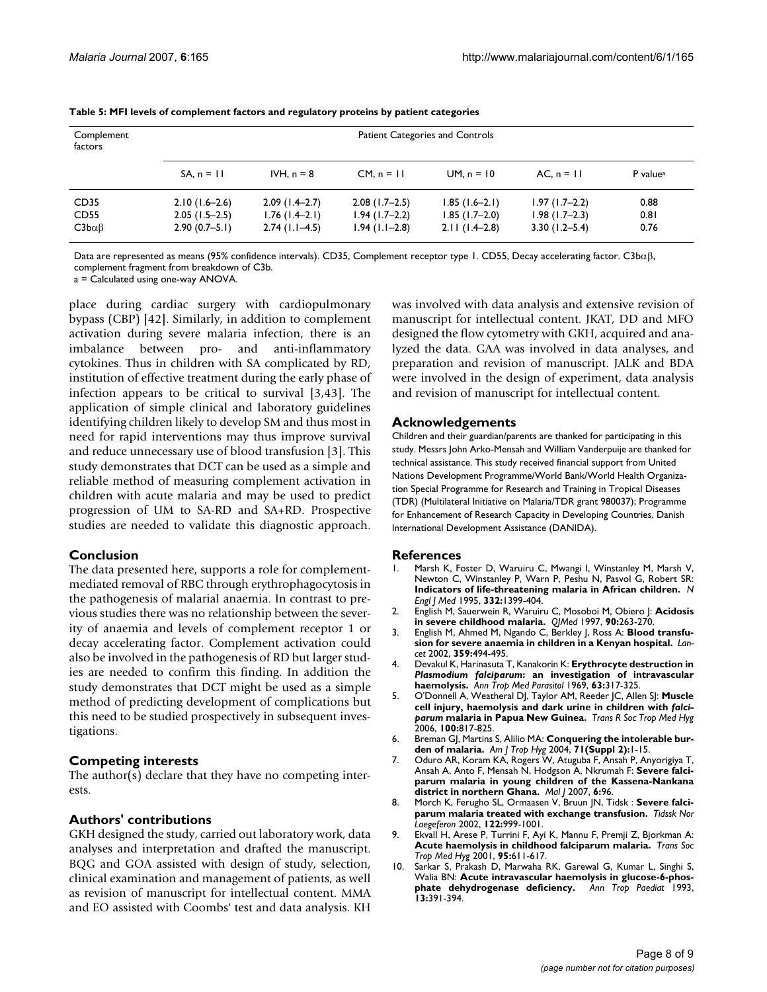| Complement<br>factors | Patient Categories and Controls |                  |                  |                 |                   |                      |  |  |
|-----------------------|---------------------------------|------------------|------------------|-----------------|-------------------|----------------------|--|--|
|                       | $SA, n = 11$                    | IVH, $n = 8$     | $CM, n = 11$     | $UM. n = 10$    | $AC, n = 11$      | P value <sup>a</sup> |  |  |
| CD <sub>35</sub>      | $2.10(1.6-2.6)$                 | $2.09(1.4-2.7)$  | $2.08$ (1.7-2.5) | $1.85(1.6-2.1)$ | $1.97(1.7-2.2)$   | 0.88                 |  |  |
| CD55                  | $2.05(1.5-2.5)$                 | $1.76(1.4-2.1)$  | $1.94(1.7-2.2)$  | $1.85(1.7-2.0)$ | $1.98(1.7-2.3)$   | 0.81                 |  |  |
| $C3b\alpha\beta$      | $2.90(0.7-5.1)$                 | $2.74$ (1.1–4.5) | $1.94(1.1-2.8)$  | $2.11(1.4-2.8)$ | $3.30(1.2 - 5.4)$ | 0.76                 |  |  |

| Table 5: MFI levels of complement factors and regulatory proteins by patient categories |  |  |  |
|-----------------------------------------------------------------------------------------|--|--|--|
|-----------------------------------------------------------------------------------------|--|--|--|

Data are represented as means (95% confidence intervals). CD35, Complement receptor type 1. CD55, Decay accelerating factor. C3bαβ, complement fragment from breakdown of C3b.

a = Calculated using one-way ANOVA.

place during cardiac surgery with cardiopulmonary bypass (CBP) [42]. Similarly, in addition to complement activation during severe malaria infection, there is an imbalance between pro- and anti-inflammatory cytokines. Thus in children with SA complicated by RD, institution of effective treatment during the early phase of infection appears to be critical to survival [3,43]. The application of simple clinical and laboratory guidelines identifying children likely to develop SM and thus most in need for rapid interventions may thus improve survival and reduce unnecessary use of blood transfusion [3]. This study demonstrates that DCT can be used as a simple and reliable method of measuring complement activation in children with acute malaria and may be used to predict progression of UM to SA-RD and SA+RD. Prospective studies are needed to validate this diagnostic approach.

# **Conclusion**

The data presented here, supports a role for complementmediated removal of RBC through erythrophagocytosis in the pathogenesis of malarial anaemia. In contrast to previous studies there was no relationship between the severity of anaemia and levels of complement receptor 1 or decay accelerating factor. Complement activation could also be involved in the pathogenesis of RD but larger studies are needed to confirm this finding. In addition the study demonstrates that DCT might be used as a simple method of predicting development of complications but this need to be studied prospectively in subsequent investigations.

# **Competing interests**

The author(s) declare that they have no competing interests.

# **Authors' contributions**

GKH designed the study, carried out laboratory work, data analyses and interpretation and drafted the manuscript. BQG and GOA assisted with design of study, selection, clinical examination and management of patients, as well as revision of manuscript for intellectual content. MMA and EO assisted with Coombs' test and data analysis. KH

was involved with data analysis and extensive revision of manuscript for intellectual content. JKAT, DD and MFO designed the flow cytometry with GKH, acquired and analyzed the data. GAA was involved in data analyses, and preparation and revision of manuscript. JALK and BDA were involved in the design of experiment, data analysis and revision of manuscript for intellectual content.

# **Acknowledgements**

Children and their guardian/parents are thanked for participating in this study. Messrs John Arko-Mensah and William Vanderpuije are thanked for technical assistance. This study received financial support from United Nations Development Programme/World Bank/World Health Organization Special Programme for Research and Training in Tropical Diseases (TDR) (Multilateral Initiative on Malaria/TDR grant 980037); Programme for Enhancement of Research Capacity in Developing Countries, Danish International Development Assistance (DANIDA).

#### **References**

- 1. Marsh K, Foster D, Waruiru C, Mwangi I, Winstanley M, Marsh V, Newton C, Winstanley P, Warn P, Peshu N, Pasvol G, Robert SR: **[Indicators of life-threatening malaria in African children.](http://www.ncbi.nlm.nih.gov/entrez/query.fcgi?cmd=Retrieve&db=PubMed&dopt=Abstract&list_uids=7723795)** *N Engl J Med* 1995, **332:**1399-404.
- 2. English M, Sauerwein R, Waruiru C, Mosoboi M, Obiero J: **Acidosis in severe childhood malaria.** *QJMed* 1997, **90:**263-270.
- 3. English M, Ahmed M, Ngando C, Berkley J, Ross A: **[Blood transfu](http://www.ncbi.nlm.nih.gov/entrez/query.fcgi?cmd=Retrieve&db=PubMed&dopt=Abstract&list_uids=11853798)[sion for severe anaemia in children in a Kenyan hospital.](http://www.ncbi.nlm.nih.gov/entrez/query.fcgi?cmd=Retrieve&db=PubMed&dopt=Abstract&list_uids=11853798)** *Lancet* 2002, **359:**494-495.
- <span id="page-7-0"></span>4. Devakul K, Harinasuta T, Kanakorin K: **Erythrocyte destruction in** *Plasmodium falciparum***[: an investigation of intravascular](http://www.ncbi.nlm.nih.gov/entrez/query.fcgi?cmd=Retrieve&db=PubMed&dopt=Abstract&list_uids=4906994) [haemolysis.](http://www.ncbi.nlm.nih.gov/entrez/query.fcgi?cmd=Retrieve&db=PubMed&dopt=Abstract&list_uids=4906994)** *Ann Trop Med Parasitol* 1969, **63:**317-325.
- 5. O'Donnell A, Weatheral DJ, Taylor AM, Reeder JC, Allen SJ: **Muscle cell injury, haemolysis and dark urine in children with** *falciparum* **[malaria in Papua New Guinea.](http://www.ncbi.nlm.nih.gov/entrez/query.fcgi?cmd=Retrieve&db=PubMed&dopt=Abstract&list_uids=16527319)** *Trans R Soc Trop Med Hyg* 2006, **100:**817-825.
- 6. Breman GJ, Martins S, Alilio MA: **Conquering the intolerable burden of malaria.** *Am J Trop Hyg* 2004, **71(Suppl 2):**1-15.
- 7. Oduro AR, Koram KA, Rogers W, Atuguba F, Ansah P, Anyorigiya T, Ansah A, Anto F, Mensah N, Hodgson A, Nkrumah F: **Severe falciparum malaria in young children of the Kassena-Nankana district in northern Ghana.** *Mal J* 2007, **6:**96.
- 8. Morch K, Ferugho SL, Ormaasen V, Bruun JN, Tidsk : **Severe falciparum malaria treated with exchange transfusion.** *Tidssk Nor Laegeferon* 2002, **122:**999-1001.
- 9. Ekvall H, Arese P, Turrini F, Ayi K, Mannu F, Premji Z, Bjorkman A: **Acute haemolysis in childhood falciparum malaria.** *Trans Soc Trop Med Hyg* 2001, **95:**611-617.
- 10. Sarkar S, Prakash D, Marwaha RK, Garewal G, Kumar L, Singhi S, Walia BN: **Acute intravascular haemolysis in glucose-6-phosphate dehydrogenase deficiency.** *Ann Trop Paediat* 1993, **13:**391-394.